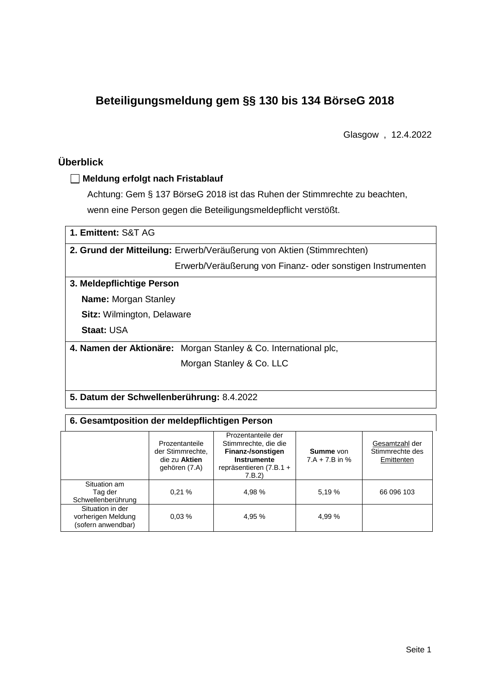# **Beteiligungsmeldung gem §§ 130 bis 134 BörseG 2018**

Glasgow , 12.4.2022

## **Überblick**

#### **Meldung erfolgt nach Fristablauf**

Achtung: Gem § 137 BörseG 2018 ist das Ruhen der Stimmrechte zu beachten, wenn eine Person gegen die Beteiligungsmeldepflicht verstößt.

| 1. Emittent: S&T AG                       |                                                                       |
|-------------------------------------------|-----------------------------------------------------------------------|
|                                           | 2. Grund der Mitteilung: Erwerb/Veräußerung von Aktien (Stimmrechten) |
|                                           | Erwerb/Veräußerung von Finanz- oder sonstigen Instrumenten            |
| 3. Meldepflichtige Person                 |                                                                       |
| <b>Name:</b> Morgan Stanley               |                                                                       |
| <b>Sitz:</b> Wilmington, Delaware         |                                                                       |
| <b>Staat: USA</b>                         |                                                                       |
|                                           | 4. Namen der Aktionäre: Morgan Stanley & Co. International plc.       |
|                                           | Morgan Stanley & Co. LLC                                              |
|                                           |                                                                       |
| 5. Datum der Schwellenberührung: 8.4.2022 |                                                                       |

| 6. Gesamtposition der meldepflichtigen Person                |                                                                      |                                                                                                                              |                                      |                                                 |  |  |  |
|--------------------------------------------------------------|----------------------------------------------------------------------|------------------------------------------------------------------------------------------------------------------------------|--------------------------------------|-------------------------------------------------|--|--|--|
|                                                              | Prozentanteile<br>der Stimmrechte.<br>die zu Aktien<br>gehören (7.A) | Prozentanteile der<br>Stimmrechte, die die<br>Finanz-/sonstigen<br><b>Instrumente</b><br>repräsentieren $(7.B.1 +$<br>7.B.2) | <b>Summe</b> von<br>$7.A + 7.B$ in % | Gesamtzahl der<br>Stimmrechte des<br>Emittenten |  |  |  |
| Situation am<br>Tag der<br>Schwellenberührung                | 0.21%                                                                | 4.98 %                                                                                                                       | 5.19 %                               | 66 096 103                                      |  |  |  |
| Situation in der<br>vorherigen Meldung<br>(sofern anwendbar) | 0.03%                                                                | 4,95 %                                                                                                                       | 4,99 %                               |                                                 |  |  |  |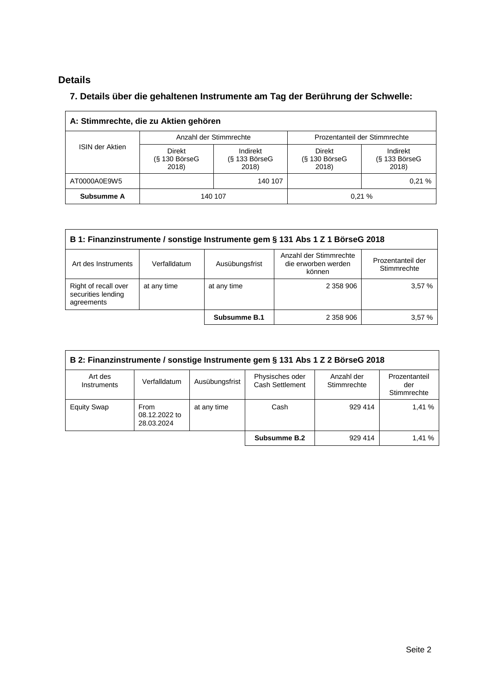## **Details**

### **7. Details über die gehaltenen Instrumente am Tag der Berührung der Schwelle:**

| A: Stimmrechte, die zu Aktien gehören |                                    |                                      |                                           |                                      |  |  |
|---------------------------------------|------------------------------------|--------------------------------------|-------------------------------------------|--------------------------------------|--|--|
|                                       |                                    | Anzahl der Stimmrechte               | Prozentanteil der Stimmrechte             |                                      |  |  |
| <b>ISIN der Aktien</b>                | Direkt<br>$(S$ 130 BörseG<br>2018) | Indirekt<br>$(S$ 133 BörseG<br>2018) | <b>Direkt</b><br>$(S$ 130 BörseG<br>2018) | Indirekt<br>$(S$ 133 BörseG<br>2018) |  |  |
| AT0000A0E9W5                          |                                    | 140 107                              |                                           | 0.21%                                |  |  |
| Subsumme A                            | 140 107                            |                                      |                                           | 0.21%                                |  |  |

| B 1: Finanzinstrumente / sonstige Instrumente gem § 131 Abs 1 Z 1 BörseG 2018                                                                        |             |              |           |       |  |
|------------------------------------------------------------------------------------------------------------------------------------------------------|-------------|--------------|-----------|-------|--|
| Anzahl der Stimmrechte<br>Prozentanteil der<br>Ausübungsfrist<br>die erworben werden<br>Verfalldatum<br>Art des Instruments<br>Stimmrechte<br>können |             |              |           |       |  |
| Right of recall over<br>securities lending<br>agreements                                                                                             | at any time | at any time  | 2 358 906 | 3.57% |  |
|                                                                                                                                                      |             | Subsumme B.1 | 2 358 906 | 3.57% |  |

| B 2: Finanzinstrumente / sonstige Instrumente gem § 131 Abs 1 Z 2 BörseG 2018 |                                     |                |                                    |                           |                                     |
|-------------------------------------------------------------------------------|-------------------------------------|----------------|------------------------------------|---------------------------|-------------------------------------|
| Art des<br><b>Instruments</b>                                                 | Verfalldatum                        | Ausübungsfrist | Physisches oder<br>Cash Settlement | Anzahl der<br>Stimmrechte | Prozentanteil<br>der<br>Stimmrechte |
| <b>Equity Swap</b>                                                            | From<br>08.12.2022 to<br>28.03.2024 | at any time    | Cash                               | 929 414                   | 1.41%                               |
|                                                                               |                                     |                | Subsumme B.2                       | 929 414                   | 1,41 %                              |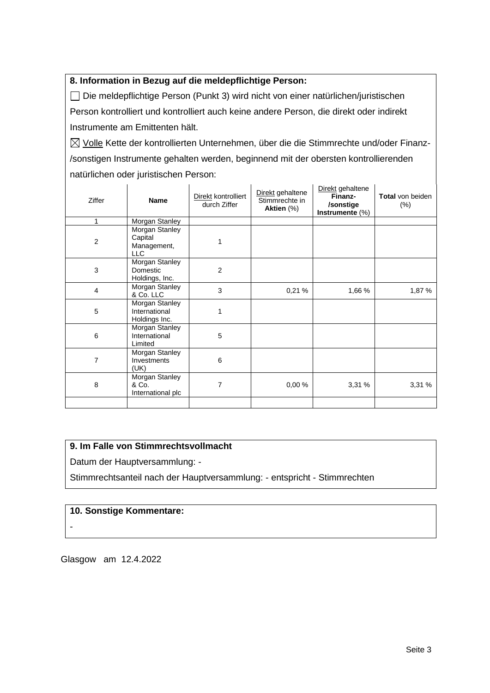#### **8. Information in Bezug auf die meldepflichtige Person:**

Die meldepflichtige Person (Punkt 3) wird nicht von einer natürlichen/juristischen Person kontrolliert und kontrolliert auch keine andere Person, die direkt oder indirekt Instrumente am Emittenten hält.

 $\boxtimes$  Volle Kette der kontrollierten Unternehmen, über die die Stimmrechte und/oder Finanz-/sonstigen Instrumente gehalten werden, beginnend mit der obersten kontrollierenden natürlichen oder juristischen Person:

| Ziffer         | <b>Name</b>                                            | Direkt kontrolliert<br>durch Ziffer | Direkt gehaltene<br>Stimmrechte in<br>Aktien (%) | Direkt gehaltene<br>Finanz-<br>/sonstige<br>Instrumente (%) | <b>Total</b> von beiden<br>$(\% )$ |
|----------------|--------------------------------------------------------|-------------------------------------|--------------------------------------------------|-------------------------------------------------------------|------------------------------------|
| 1              | Morgan Stanley                                         |                                     |                                                  |                                                             |                                    |
| $\overline{c}$ | Morgan Stanley<br>Capital<br>Management,<br><b>LLC</b> |                                     |                                                  |                                                             |                                    |
| 3              | Morgan Stanley<br>Domestic<br>Holdings, Inc.           | $\overline{2}$                      |                                                  |                                                             |                                    |
| $\overline{4}$ | Morgan Stanley<br>& Co. LLC                            | 3                                   | 0,21%                                            | 1,66 %                                                      | 1,87 %                             |
| 5              | Morgan Stanley<br>International<br>Holdings Inc.       | 1                                   |                                                  |                                                             |                                    |
| 6              | Morgan Stanley<br>International<br>Limited             | 5                                   |                                                  |                                                             |                                    |
| 7              | Morgan Stanley<br>Investments<br>(UK)                  | 6                                   |                                                  |                                                             |                                    |
| 8              | Morgan Stanley<br>& Co.<br>International plc           | 7                                   | 0,00%                                            | 3,31%                                                       | 3,31%                              |
|                |                                                        |                                     |                                                  |                                                             |                                    |

#### **9. Im Falle von Stimmrechtsvollmacht**

Datum der Hauptversammlung: -

Stimmrechtsanteil nach der Hauptversammlung: - entspricht - Stimmrechten

#### **10. Sonstige Kommentare:**

-

Glasgow am 12.4.2022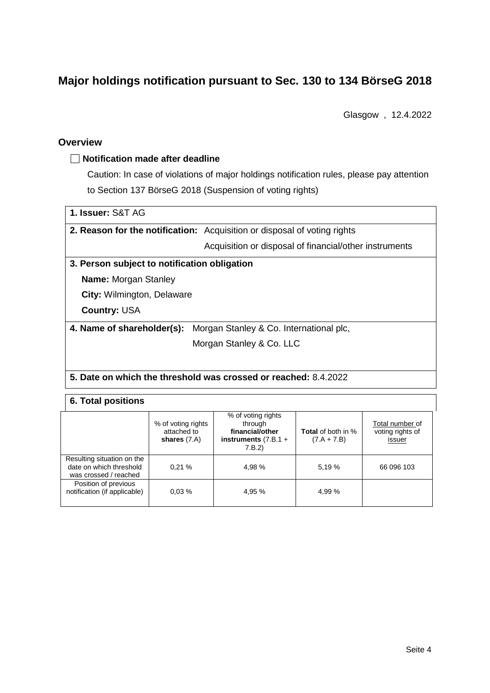# **Major holdings notification pursuant to Sec. 130 to 134 BörseG 2018**

Glasgow , 12.4.2022

#### **Overview**

#### **Notification made after deadline**

Caution: In case of violations of major holdings notification rules, please pay attention to Section 137 BörseG 2018 (Suspension of voting rights)

| 1. Issuer: S&T AG |  |
|-------------------|--|
|                   |  |

**2. Reason for the notification:** Acquisition or disposal of voting rights

Acquisition or disposal of financial/other instruments

#### **3. Person subject to notification obligation**

**Name:** Morgan Stanley

**City:** Wilmington, Delaware

**Country:** USA

**4. Name of shareholder(s):** Morgan Stanley & Co. International plc,

Morgan Stanley & Co. LLC

**5. Date on which the threshold was crossed or reached:** 8.4.2022

#### **6. Total positions**

|                                                                                | % of voting rights<br>attached to<br>shares $(7.A)$ | % of voting rights<br>through<br>financial/other<br>instruments $(7.B.1 +$<br>7.B.2) | <b>Total</b> of both in %<br>$(7.A + 7.B)$ | Total number of<br>voting rights of<br>issuer |
|--------------------------------------------------------------------------------|-----------------------------------------------------|--------------------------------------------------------------------------------------|--------------------------------------------|-----------------------------------------------|
| Resulting situation on the<br>date on which threshold<br>was crossed / reached | 0.21%                                               | 4,98 %                                                                               | 5.19 %                                     | 66 096 103                                    |
| Position of previous<br>notification (if applicable)                           | 0.03%                                               | 4,95 %                                                                               | 4.99 %                                     |                                               |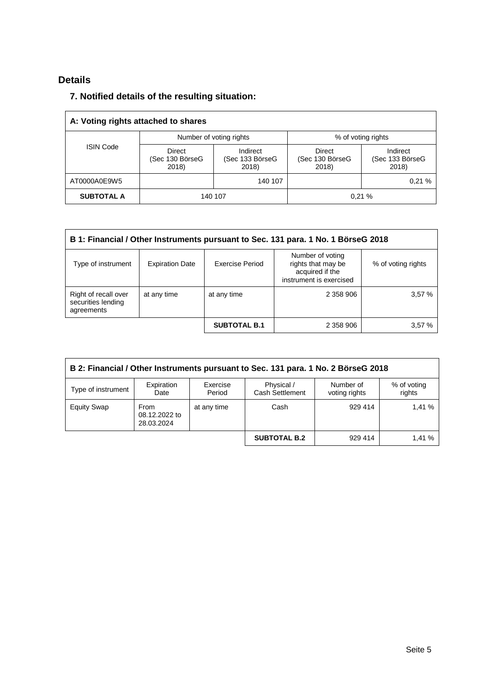## **Details**

### **7. Notified details of the resulting situation:**

| A: Voting rights attached to shares |                                           |                                      |                                    |                                      |  |
|-------------------------------------|-------------------------------------------|--------------------------------------|------------------------------------|--------------------------------------|--|
|                                     |                                           | Number of voting rights              | % of voting rights                 |                                      |  |
| <b>ISIN Code</b>                    | <b>Direct</b><br>(Sec 130 BörseG<br>2018) | Indirect<br>(Sec 133 BörseG<br>2018) | Direct<br>(Sec 130 BörseG<br>2018) | Indirect<br>(Sec 133 BörseG<br>2018) |  |
| AT0000A0E9W5                        |                                           | 140 107                              |                                    | 0.21%                                |  |
| <b>SUBTOTAL A</b>                   |                                           | 140 107                              |                                    | 0.21%                                |  |

| B 1: Financial / Other Instruments pursuant to Sec. 131 para. 1 No. 1 BörseG 2018 |                        |                     |                                                                                      |                    |  |
|-----------------------------------------------------------------------------------|------------------------|---------------------|--------------------------------------------------------------------------------------|--------------------|--|
| Type of instrument                                                                | <b>Expiration Date</b> | Exercise Period     | Number of voting<br>rights that may be<br>acquired if the<br>instrument is exercised | % of voting rights |  |
| Right of recall over<br>securities lending<br>agreements                          | at any time            | at any time         | 2 358 906                                                                            | 3,57%              |  |
|                                                                                   |                        | <b>SUBTOTAL B.1</b> | 2 358 906                                                                            | 3.57%              |  |

| B 2: Financial / Other Instruments pursuant to Sec. 131 para. 1 No. 2 BörseG 2018 |                                            |                    |                               |                            |                       |  |
|-----------------------------------------------------------------------------------|--------------------------------------------|--------------------|-------------------------------|----------------------------|-----------------------|--|
| Type of instrument                                                                | Expiration<br>Date                         | Exercise<br>Period | Physical /<br>Cash Settlement | Number of<br>voting rights | % of voting<br>rights |  |
| <b>Equity Swap</b>                                                                | <b>From</b><br>08.12.2022 to<br>28.03.2024 | at any time        | Cash                          | 929 414                    | 1.41%                 |  |
|                                                                                   |                                            |                    | <b>SUBTOTAL B.2</b>           | 929 414                    | 1,41 %                |  |